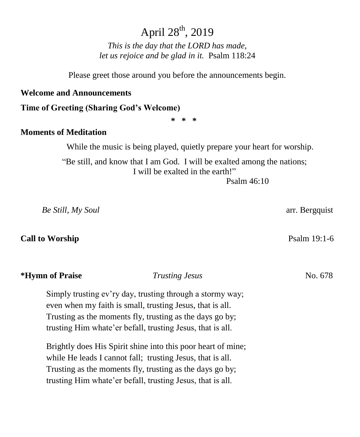# April 28<sup>th</sup>, 2019

*This is the day that the LORD has made, let us rejoice and be glad in it.* Psalm 118:24

Please greet those around you before the announcements begin.

#### **Welcome and Announcements**

**Time of Greeting (Sharing God's Welcome)**

**\* \* \***

#### **Moments of Meditation**

While the music is being played, quietly prepare your heart for worship.

"Be still, and know that I am God. I will be exalted among the nations; I will be exalted in the earth!"

Psalm 46:10

 *Be Still, My Soul* arr. Bergquist

#### **Call to Worship** Psalm 19:1-6

#### **\*Hymn of Praise** *Trusting Jesus* No. 678 No. 4

Simply trusting ev'ry day, trusting through a stormy way; even when my faith is small, trusting Jesus, that is all. Trusting as the moments fly, trusting as the days go by; trusting Him whate'er befall, trusting Jesus, that is all.

Brightly does His Spirit shine into this poor heart of mine; while He leads I cannot fall; trusting Jesus, that is all. Trusting as the moments fly, trusting as the days go by; trusting Him whate'er befall, trusting Jesus, that is all.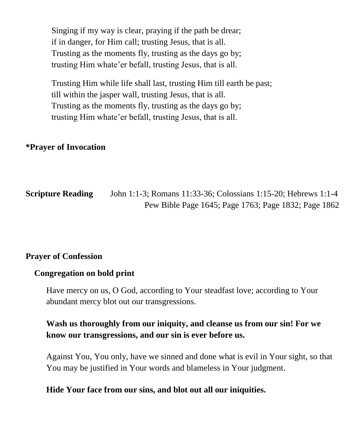Singing if my way is clear, praying if the path be drear; if in danger, for Him call; trusting Jesus, that is all. Trusting as the moments fly, trusting as the days go by; trusting Him whate'er befall, trusting Jesus, that is all.

Trusting Him while life shall last, trusting Him till earth be past; till within the jasper wall, trusting Jesus, that is all. Trusting as the moments fly, trusting as the days go by; trusting Him whate'er befall, trusting Jesus, that is all.

# **\*Prayer of Invocation**

**Scripture Reading** John 1:1-3; Romans 11:33-36; Colossians 1:15-20; Hebrews 1:1-4 Pew Bible Page 1645; Page 1763; Page 1832; Page 1862

### **Prayer of Confession**

#### **Congregation on bold print**

Have mercy on us, O God, according to Your steadfast love; according to Your abundant mercy blot out our transgressions.

# **Wash us thoroughly from our iniquity, and cleanse us from our sin! For we know our transgressions, and our sin is ever before us.**

Against You, You only, have we sinned and done what is evil in Your sight, so that You may be justified in Your words and blameless in Your judgment.

#### **Hide Your face from our sins, and blot out all our iniquities.**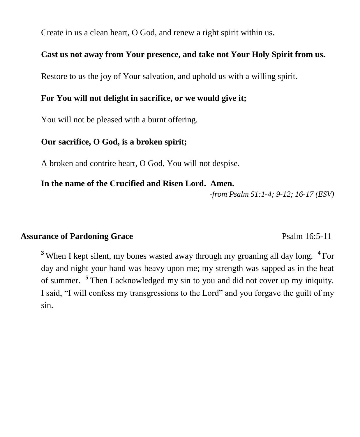Create in us a clean heart, O God, and renew a right spirit within us.

### **Cast us not away from Your presence, and take not Your Holy Spirit from us.**

Restore to us the joy of Your salvation, and uphold us with a willing spirit.

### **For You will not delight in sacrifice, or we would give it;**

You will not be pleased with a burnt offering.

### **Our sacrifice, O God, is a broken spirit;**

A broken and contrite heart, O God, You will not despise.

#### **In the name of the Crucified and Risen Lord. Amen.**

*-from Psalm 51:1-4; 9-12; 16-17 (ESV)*

# **Assurance of Pardoning Grace** Psalm 16:5-11

**<sup>3</sup>** When I kept silent, my bones wasted away through my groaning all day long. **<sup>4</sup>**For day and night your hand was heavy upon me; my strength was sapped as in the heat of summer. **<sup>5</sup>**Then I acknowledged my sin to you and did not cover up my iniquity. I said, "I will confess my transgressions to the Lord" and you forgave the guilt of my sin.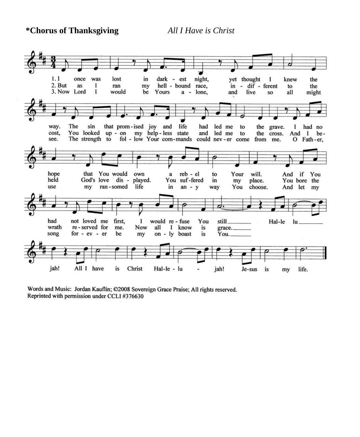**\*Chorus of Thanksgiving** *All I Have is Christ*



Words and Music: Jordan Kauflin; ©2008 Sovereign Grace Praise; All rights reserved. Reprinted with permission under CCLI #376630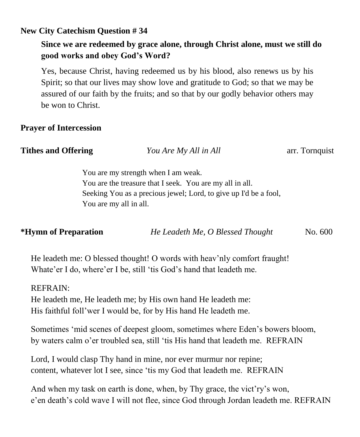# **New City Catechism Question # 34**

# **Since we are redeemed by grace alone, through Christ alone, must we still do good works and obey God's Word?**

Yes, because Christ, having redeemed us by his blood, also renews us by his Spirit; so that our lives may show love and gratitude to God; so that we may be assured of our faith by the fruits; and so that by our godly behavior others may be won to Christ.

# **Prayer of Intercession**

| <b>Tithes and Offering</b><br>You Are My All in All              |  |
|------------------------------------------------------------------|--|
| You are my strength when I am weak.                              |  |
| You are the treasure that I seek. You are my all in all.         |  |
| Seeking You as a precious jewel; Lord, to give up I'd be a fool, |  |
| You are my all in all.                                           |  |

|  | *Hymn of Preparation | He Leadeth Me, O Blessed Thought | No. 600 |
|--|----------------------|----------------------------------|---------|
|--|----------------------|----------------------------------|---------|

He leadeth me: O blessed thought! O words with heav'nly comfort fraught! Whate'er I do, where'er I be, still 'tis God's hand that leadeth me.

### REFRAIN:

He leadeth me, He leadeth me; by His own hand He leadeth me: His faithful foll'wer I would be, for by His hand He leadeth me.

Sometimes 'mid scenes of deepest gloom, sometimes where Eden's bowers bloom, by waters calm o'er troubled sea, still 'tis His hand that leadeth me. REFRAIN

Lord, I would clasp Thy hand in mine, nor ever murmur nor repine; content, whatever lot I see, since 'tis my God that leadeth me. REFRAIN

And when my task on earth is done, when, by Thy grace, the vict'ry's won, e'en death's cold wave I will not flee, since God through Jordan leadeth me. REFRAIN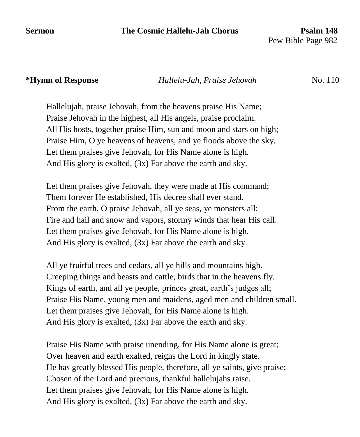#### **Sermon** The Cosmic Hallelu-Jah Chorus Psalm 148

Pew Bible Page 982

#### **\*Hymn of Response** *Hallelu-Jah, Praise Jehovah* No. 110

Hallelujah, praise Jehovah, from the heavens praise His Name; Praise Jehovah in the highest, all His angels, praise proclaim. All His hosts, together praise Him, sun and moon and stars on high; Praise Him, O ye heavens of heavens, and ye floods above the sky. Let them praises give Jehovah, for His Name alone is high. And His glory is exalted, (3x) Far above the earth and sky.

Let them praises give Jehovah, they were made at His command; Them forever He established, His decree shall ever stand. From the earth, O praise Jehovah, all ye seas, ye monsters all; Fire and hail and snow and vapors, stormy winds that hear His call. Let them praises give Jehovah, for His Name alone is high. And His glory is exalted, (3x) Far above the earth and sky.

All ye fruitful trees and cedars, all ye hills and mountains high. Creeping things and beasts and cattle, birds that in the heavens fly. Kings of earth, and all ye people, princes great, earth's judges all; Praise His Name, young men and maidens, aged men and children small. Let them praises give Jehovah, for His Name alone is high. And His glory is exalted, (3x) Far above the earth and sky.

Praise His Name with praise unending, for His Name alone is great; Over heaven and earth exalted, reigns the Lord in kingly state. He has greatly blessed His people, therefore, all ye saints, give praise; Chosen of the Lord and precious, thankful hallelujahs raise. Let them praises give Jehovah, for His Name alone is high. And His glory is exalted, (3x) Far above the earth and sky.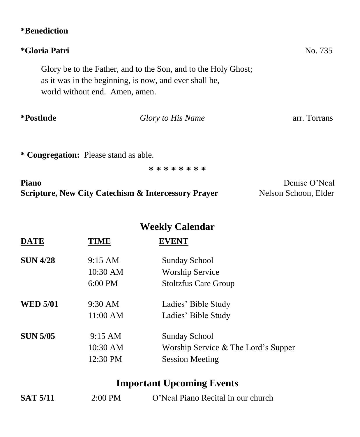| <i>*</i> Benediction                                                                     |                                                                |                                       |
|------------------------------------------------------------------------------------------|----------------------------------------------------------------|---------------------------------------|
| <i>*Gloria Patri</i>                                                                     |                                                                | No. 735                               |
| as it was in the beginning, is now, and ever shall be,<br>world without end. Amen, amen. | Glory be to the Father, and to the Son, and to the Holy Ghost; |                                       |
| <i>*Postlude</i>                                                                         | Glory to His Name                                              | arr. Torrans                          |
| * Congregation: Please stand as able.                                                    |                                                                |                                       |
|                                                                                          | * * * * * * * *                                                |                                       |
| <b>Piano</b><br><b>Scripture, New City Catechism &amp; Intercessory Prayer</b>           |                                                                | Denise O'Neal<br>Nelson Schoon, Elder |
|                                                                                          | <b>Weekly Calendar</b>                                         |                                       |

| <b>DATE</b>     | TIME              | <b>EVENT</b>                        |
|-----------------|-------------------|-------------------------------------|
| <b>SUN 4/28</b> | $9:15 \text{ AM}$ | <b>Sunday School</b>                |
|                 | 10:30 AM          | <b>Worship Service</b>              |
|                 | $6:00 \text{ PM}$ | <b>Stoltzfus Care Group</b>         |
| <b>WED 5/01</b> | $9:30 \text{ AM}$ | Ladies' Bible Study                 |
|                 | 11:00 AM          | Ladies' Bible Study                 |
| <b>SUN 5/05</b> | $9:15 \text{ AM}$ | <b>Sunday School</b>                |
|                 | 10:30 AM          | Worship Service & The Lord's Supper |
|                 | 12:30 PM          | <b>Session Meeting</b>              |

# **Important Upcoming Events**

| <b>SAT 5/11</b> | $2:00$ PM | O'Neal Piano Recital in our church |  |
|-----------------|-----------|------------------------------------|--|
|                 |           |                                    |  |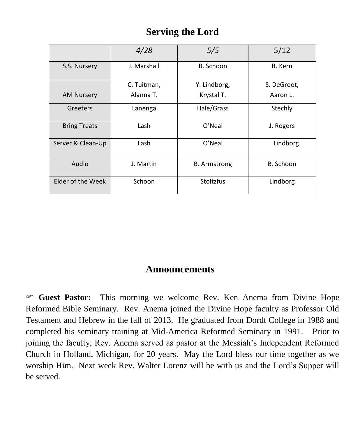# **Serving the Lord**

|                     | 4/28        | 5/5                 | 5/12        |
|---------------------|-------------|---------------------|-------------|
| S.S. Nursery        | J. Marshall | B. Schoon           | R. Kern     |
|                     | C. Tuitman, | Y. Lindborg,        | S. DeGroot, |
| <b>AM Nursery</b>   | Alanna T.   | Krystal T.          | Aaron L.    |
| Greeters            | Lanenga     | Hale/Grass          | Stechly     |
| <b>Bring Treats</b> | Lash        | O'Neal              | J. Rogers   |
| Server & Clean-Up   | Lash        | O'Neal              | Lindborg    |
| Audio               | J. Martin   | <b>B.</b> Armstrong | B. Schoon   |
| Elder of the Week   | Schoon      | Stoltzfus           | Lindborg    |

# **Announcements**

 **Guest Pastor:** This morning we welcome Rev. Ken Anema from Divine Hope Reformed Bible Seminary. Rev. Anema joined the Divine Hope faculty as Professor Old Testament and Hebrew in the fall of 2013. He graduated from Dordt College in 1988 and completed his seminary training at Mid-America Reformed Seminary in 1991. Prior to joining the faculty, Rev. Anema served as pastor at the Messiah's Independent Reformed Church in Holland, Michigan, for 20 years. May the Lord bless our time together as we worship Him. Next week Rev. Walter Lorenz will be with us and the Lord's Supper will be served.